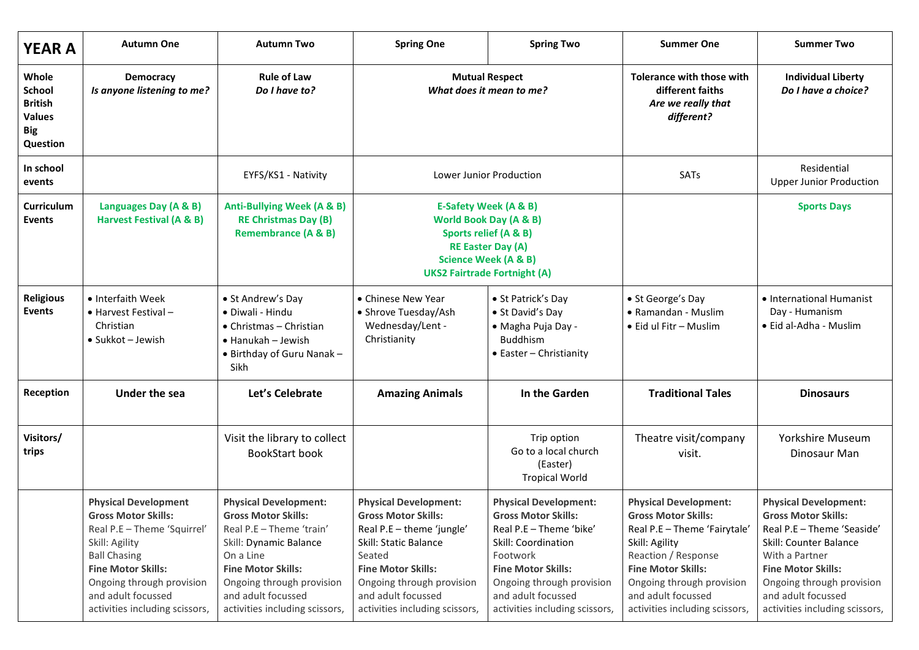| <b>YEAR A</b>                                                                | <b>Autumn One</b>                                                                                                                                                                                                                                   | <b>Autumn Two</b>                                                                                                                                                                                                                               | <b>Spring One</b>                                                                                                                                                                                                                            | <b>Spring Two</b>                                                                                                                                                                                                                          | <b>Summer One</b>                                                                                                                                                                                                                                     | <b>Summer Two</b>                                                                                                                                                                                                                                      |
|------------------------------------------------------------------------------|-----------------------------------------------------------------------------------------------------------------------------------------------------------------------------------------------------------------------------------------------------|-------------------------------------------------------------------------------------------------------------------------------------------------------------------------------------------------------------------------------------------------|----------------------------------------------------------------------------------------------------------------------------------------------------------------------------------------------------------------------------------------------|--------------------------------------------------------------------------------------------------------------------------------------------------------------------------------------------------------------------------------------------|-------------------------------------------------------------------------------------------------------------------------------------------------------------------------------------------------------------------------------------------------------|--------------------------------------------------------------------------------------------------------------------------------------------------------------------------------------------------------------------------------------------------------|
| Whole<br>School<br><b>British</b><br><b>Values</b><br><b>Big</b><br>Question | <b>Democracy</b><br>Is anyone listening to me?                                                                                                                                                                                                      | <b>Rule of Law</b><br>Do I have to?                                                                                                                                                                                                             | <b>Mutual Respect</b><br>What does it mean to me?                                                                                                                                                                                            |                                                                                                                                                                                                                                            | Tolerance with those with<br>different faiths<br>Are we really that<br>different?                                                                                                                                                                     | <b>Individual Liberty</b><br>Do I have a choice?                                                                                                                                                                                                       |
| In school<br>events                                                          |                                                                                                                                                                                                                                                     | EYFS/KS1 - Nativity                                                                                                                                                                                                                             | Lower Junior Production                                                                                                                                                                                                                      |                                                                                                                                                                                                                                            | SATs                                                                                                                                                                                                                                                  | Residential<br><b>Upper Junior Production</b>                                                                                                                                                                                                          |
| Curriculum<br>Events                                                         | Languages Day (A & B)<br>Harvest Festival (A & B)                                                                                                                                                                                                   | <b>Anti-Bullying Week (A &amp; B)</b><br><b>RE Christmas Day (B)</b><br><b>Remembrance (A &amp; B)</b>                                                                                                                                          | E-Safety Week (A & B)<br><b>World Book Day (A &amp; B)</b><br>Sports relief (A & B)<br><b>RE Easter Day (A)</b><br><b>Science Week (A &amp; B)</b><br><b>UKS2 Fairtrade Fortnight (A)</b>                                                    |                                                                                                                                                                                                                                            |                                                                                                                                                                                                                                                       | <b>Sports Days</b>                                                                                                                                                                                                                                     |
| <b>Religious</b><br><b>Events</b>                                            | • Interfaith Week<br>• Harvest Festival -<br>Christian<br>$\bullet$ Sukkot - Jewish                                                                                                                                                                 | • St Andrew's Day<br>· Diwali - Hindu<br>$\bullet$ Christmas - Christian<br>• Hanukah - Jewish<br>• Birthday of Guru Nanak -<br>Sikh                                                                                                            | • Chinese New Year<br>• Shrove Tuesday/Ash<br>Wednesday/Lent -<br>Christianity                                                                                                                                                               | • St Patrick's Day<br>• St David's Day<br>• Magha Puja Day -<br><b>Buddhism</b><br>• Easter - Christianity                                                                                                                                 | • St George's Day<br>• Ramandan - Muslim<br>• Eid ul Fitr - Muslim                                                                                                                                                                                    | • International Humanist<br>Day - Humanism<br>· Eid al-Adha - Muslim                                                                                                                                                                                   |
| Reception                                                                    | <b>Under the sea</b>                                                                                                                                                                                                                                | Let's Celebrate                                                                                                                                                                                                                                 | <b>Amazing Animals</b>                                                                                                                                                                                                                       | In the Garden                                                                                                                                                                                                                              | <b>Traditional Tales</b>                                                                                                                                                                                                                              | <b>Dinosaurs</b>                                                                                                                                                                                                                                       |
| Visitors/<br>trips                                                           |                                                                                                                                                                                                                                                     | Visit the library to collect<br>BookStart book                                                                                                                                                                                                  |                                                                                                                                                                                                                                              | Trip option<br>Go to a local church<br>(Easter)<br><b>Tropical World</b>                                                                                                                                                                   | Theatre visit/company<br>visit.                                                                                                                                                                                                                       | Yorkshire Museum<br>Dinosaur Man                                                                                                                                                                                                                       |
|                                                                              | <b>Physical Development</b><br><b>Gross Motor Skills:</b><br>Real P.E - Theme 'Squirrel'<br>Skill: Agility<br><b>Ball Chasing</b><br><b>Fine Motor Skills:</b><br>Ongoing through provision<br>and adult focussed<br>activities including scissors, | <b>Physical Development:</b><br><b>Gross Motor Skills:</b><br>Real P.E - Theme 'train'<br>Skill: Dynamic Balance<br>On a Line<br><b>Fine Motor Skills:</b><br>Ongoing through provision<br>and adult focussed<br>activities including scissors, | <b>Physical Development:</b><br><b>Gross Motor Skills:</b><br>Real P.E - theme 'jungle'<br>Skill: Static Balance<br>Seated<br><b>Fine Motor Skills:</b><br>Ongoing through provision<br>and adult focussed<br>activities including scissors, | <b>Physical Development:</b><br><b>Gross Motor Skills:</b><br>Real P.E - Theme 'bike'<br>Skill: Coordination<br>Footwork<br><b>Fine Motor Skills:</b><br>Ongoing through provision<br>and adult focussed<br>activities including scissors, | <b>Physical Development:</b><br><b>Gross Motor Skills:</b><br>Real P.E - Theme 'Fairytale'<br>Skill: Agility<br>Reaction / Response<br><b>Fine Motor Skills:</b><br>Ongoing through provision<br>and adult focussed<br>activities including scissors, | <b>Physical Development:</b><br><b>Gross Motor Skills:</b><br>Real P.E - Theme 'Seaside'<br>Skill: Counter Balance<br>With a Partner<br><b>Fine Motor Skills:</b><br>Ongoing through provision<br>and adult focussed<br>activities including scissors, |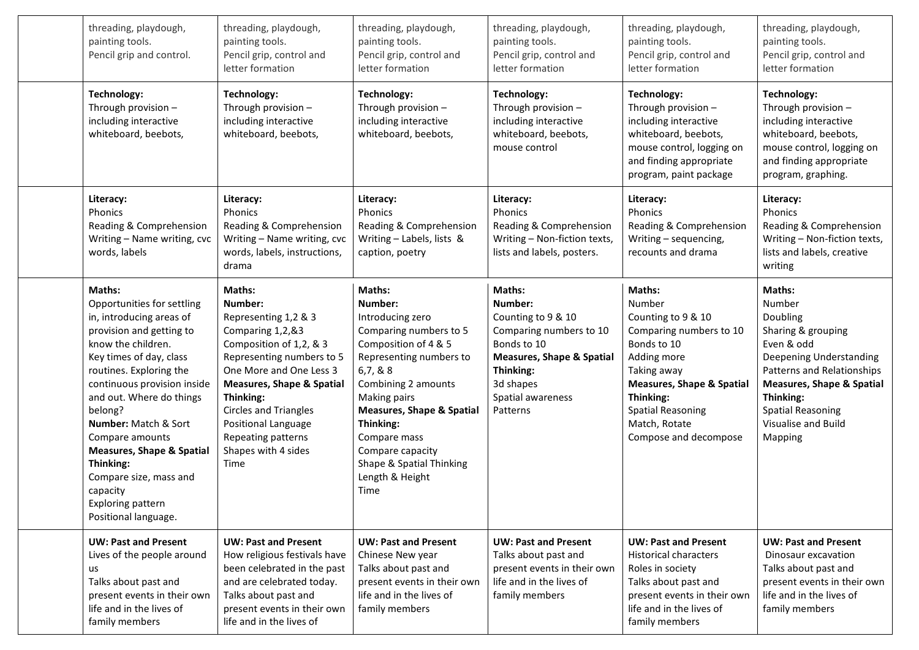| threading, playdough,<br>painting tools.<br>Pencil grip and control.                                                                                                                                                                                                                                                                                                                                                              | threading, playdough,<br>painting tools.<br>Pencil grip, control and<br>letter formation                                                                                                                                                                                                                                 | threading, playdough,<br>painting tools.<br>Pencil grip, control and<br>letter formation                                                                                                                                                                                                                             | threading, playdough,<br>painting tools.<br>Pencil grip, control and<br>letter formation                                                                                             | threading, playdough,<br>painting tools.<br>Pencil grip, control and<br>letter formation                                                                                                                                                         | threading, playdough,<br>painting tools.<br>Pencil grip, control and<br>letter formation                                                                                                                                                            |
|-----------------------------------------------------------------------------------------------------------------------------------------------------------------------------------------------------------------------------------------------------------------------------------------------------------------------------------------------------------------------------------------------------------------------------------|--------------------------------------------------------------------------------------------------------------------------------------------------------------------------------------------------------------------------------------------------------------------------------------------------------------------------|----------------------------------------------------------------------------------------------------------------------------------------------------------------------------------------------------------------------------------------------------------------------------------------------------------------------|--------------------------------------------------------------------------------------------------------------------------------------------------------------------------------------|--------------------------------------------------------------------------------------------------------------------------------------------------------------------------------------------------------------------------------------------------|-----------------------------------------------------------------------------------------------------------------------------------------------------------------------------------------------------------------------------------------------------|
| <b>Technology:</b><br>Through provision -<br>including interactive<br>whiteboard, beebots,                                                                                                                                                                                                                                                                                                                                        | Technology:<br>Through provision -<br>including interactive<br>whiteboard, beebots,                                                                                                                                                                                                                                      | <b>Technology:</b><br>Through provision -<br>including interactive<br>whiteboard, beebots,                                                                                                                                                                                                                           | <b>Technology:</b><br>Through provision -<br>including interactive<br>whiteboard, beebots,<br>mouse control                                                                          | Technology:<br>Through provision -<br>including interactive<br>whiteboard, beebots,<br>mouse control, logging on<br>and finding appropriate<br>program, paint package                                                                            | Technology:<br>Through provision -<br>including interactive<br>whiteboard, beebots,<br>mouse control, logging on<br>and finding appropriate<br>program, graphing.                                                                                   |
| Literacy:<br>Phonics<br>Reading & Comprehension<br>Writing - Name writing, cvc<br>words, labels                                                                                                                                                                                                                                                                                                                                   | Literacy:<br>Phonics<br>Reading & Comprehension<br>Writing - Name writing, cvc<br>words, labels, instructions,<br>drama                                                                                                                                                                                                  | Literacy:<br>Phonics<br>Reading & Comprehension<br>Writing - Labels, lists &<br>caption, poetry                                                                                                                                                                                                                      | Literacy:<br>Phonics<br>Reading & Comprehension<br>Writing - Non-fiction texts,<br>lists and labels, posters.                                                                        | Literacy:<br>Phonics<br>Reading & Comprehension<br>Writing - sequencing,<br>recounts and drama                                                                                                                                                   | Literacy:<br>Phonics<br>Reading & Comprehension<br>Writing - Non-fiction texts,<br>lists and labels, creative<br>writing                                                                                                                            |
| Maths:<br>Opportunities for settling<br>in, introducing areas of<br>provision and getting to<br>know the children.<br>Key times of day, class<br>routines. Exploring the<br>continuous provision inside<br>and out. Where do things<br>belong?<br>Number: Match & Sort<br>Compare amounts<br><b>Measures, Shape &amp; Spatial</b><br>Thinking:<br>Compare size, mass and<br>capacity<br>Exploring pattern<br>Positional language. | <b>Maths:</b><br>Number:<br>Representing 1,2 & 3<br>Comparing 1,2,&3<br>Composition of 1,2, & 3<br>Representing numbers to 5<br>One More and One Less 3<br><b>Measures, Shape &amp; Spatial</b><br>Thinking:<br><b>Circles and Triangles</b><br>Positional Language<br>Repeating patterns<br>Shapes with 4 sides<br>Time | Maths:<br>Number:<br>Introducing zero<br>Comparing numbers to 5<br>Composition of 4 & 5<br>Representing numbers to<br>6,7,8.8<br>Combining 2 amounts<br>Making pairs<br><b>Measures, Shape &amp; Spatial</b><br>Thinking:<br>Compare mass<br>Compare capacity<br>Shape & Spatial Thinking<br>Length & Height<br>Time | Maths:<br>Number:<br>Counting to 9 & 10<br>Comparing numbers to 10<br>Bonds to 10<br><b>Measures, Shape &amp; Spatial</b><br>Thinking:<br>3d shapes<br>Spatial awareness<br>Patterns | <b>Maths:</b><br>Number<br>Counting to 9 & 10<br>Comparing numbers to 10<br>Bonds to 10<br>Adding more<br>Taking away<br><b>Measures, Shape &amp; Spatial</b><br>Thinking:<br><b>Spatial Reasoning</b><br>Match, Rotate<br>Compose and decompose | Maths:<br>Number<br>Doubling<br>Sharing & grouping<br>Even & odd<br><b>Deepening Understanding</b><br>Patterns and Relationships<br><b>Measures, Shape &amp; Spatial</b><br>Thinking:<br><b>Spatial Reasoning</b><br>Visualise and Build<br>Mapping |
| <b>UW: Past and Present</b><br>Lives of the people around<br>us<br>Talks about past and<br>present events in their own<br>life and in the lives of<br>family members                                                                                                                                                                                                                                                              | <b>UW: Past and Present</b><br>How religious festivals have<br>been celebrated in the past<br>and are celebrated today.<br>Talks about past and<br>present events in their own<br>life and in the lives of                                                                                                               | <b>UW: Past and Present</b><br>Chinese New year<br>Talks about past and<br>present events in their own<br>life and in the lives of<br>family members                                                                                                                                                                 | <b>UW: Past and Present</b><br>Talks about past and<br>present events in their own<br>life and in the lives of<br>family members                                                     | <b>UW: Past and Present</b><br><b>Historical characters</b><br>Roles in society<br>Talks about past and<br>present events in their own<br>life and in the lives of<br>family members                                                             | <b>UW: Past and Present</b><br>Dinosaur excavation<br>Talks about past and<br>present events in their own<br>life and in the lives of<br>family members                                                                                             |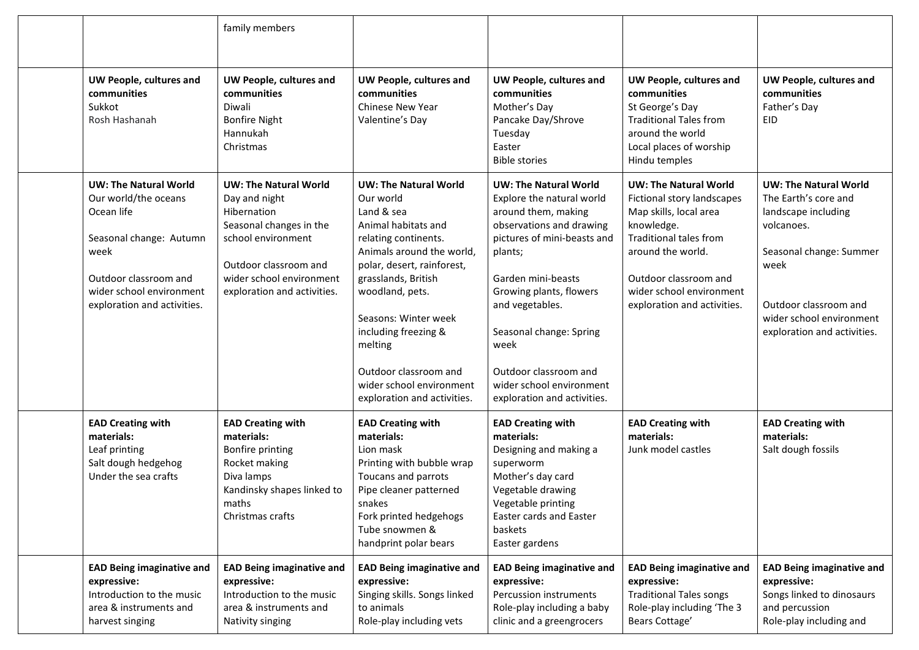|                                                                                                                                                                                           | family members                                                                                                                                                                                    |                                                                                                                                                                                                                                                                                                                                                            |                                                                                                                                                                                                                                                                                                                                                   |                                                                                                                                                                                                                                              |                                                                                                                                                                                                                  |
|-------------------------------------------------------------------------------------------------------------------------------------------------------------------------------------------|---------------------------------------------------------------------------------------------------------------------------------------------------------------------------------------------------|------------------------------------------------------------------------------------------------------------------------------------------------------------------------------------------------------------------------------------------------------------------------------------------------------------------------------------------------------------|---------------------------------------------------------------------------------------------------------------------------------------------------------------------------------------------------------------------------------------------------------------------------------------------------------------------------------------------------|----------------------------------------------------------------------------------------------------------------------------------------------------------------------------------------------------------------------------------------------|------------------------------------------------------------------------------------------------------------------------------------------------------------------------------------------------------------------|
| UW People, cultures and<br>communities<br>Sukkot<br>Rosh Hashanah                                                                                                                         | UW People, cultures and<br>communities<br>Diwali<br><b>Bonfire Night</b><br>Hannukah<br>Christmas                                                                                                 | <b>UW People, cultures and</b><br>communities<br><b>Chinese New Year</b><br>Valentine's Day                                                                                                                                                                                                                                                                | UW People, cultures and<br>communities<br>Mother's Day<br>Pancake Day/Shrove<br>Tuesday<br>Easter<br><b>Bible stories</b>                                                                                                                                                                                                                         | UW People, cultures and<br>communities<br>St George's Day<br><b>Traditional Tales from</b><br>around the world<br>Local places of worship<br>Hindu temples                                                                                   | UW People, cultures and<br>communities<br>Father's Day<br>EID                                                                                                                                                    |
| <b>UW: The Natural World</b><br>Our world/the oceans<br>Ocean life<br>Seasonal change: Autumn<br>week<br>Outdoor classroom and<br>wider school environment<br>exploration and activities. | <b>UW: The Natural World</b><br>Day and night<br>Hibernation<br>Seasonal changes in the<br>school environment<br>Outdoor classroom and<br>wider school environment<br>exploration and activities. | <b>UW: The Natural World</b><br>Our world<br>Land & sea<br>Animal habitats and<br>relating continents.<br>Animals around the world,<br>polar, desert, rainforest,<br>grasslands, British<br>woodland, pets.<br>Seasons: Winter week<br>including freezing &<br>melting<br>Outdoor classroom and<br>wider school environment<br>exploration and activities. | <b>UW: The Natural World</b><br>Explore the natural world<br>around them, making<br>observations and drawing<br>pictures of mini-beasts and<br>plants;<br>Garden mini-beasts<br>Growing plants, flowers<br>and vegetables.<br>Seasonal change: Spring<br>week<br>Outdoor classroom and<br>wider school environment<br>exploration and activities. | <b>UW: The Natural World</b><br>Fictional story landscapes<br>Map skills, local area<br>knowledge.<br><b>Traditional tales from</b><br>around the world.<br>Outdoor classroom and<br>wider school environment<br>exploration and activities. | <b>UW: The Natural World</b><br>The Earth's core and<br>landscape including<br>volcanoes.<br>Seasonal change: Summer<br>week<br>Outdoor classroom and<br>wider school environment<br>exploration and activities. |
| <b>EAD Creating with</b><br>materials:<br>Leaf printing<br>Salt dough hedgehog<br>Under the sea crafts                                                                                    | <b>EAD Creating with</b><br>materials:<br>Bonfire printing<br>Rocket making<br>Diva lamps<br>Kandinsky shapes linked to<br>maths<br>Christmas crafts                                              | <b>EAD Creating with</b><br>materials:<br>Lion mask<br>Printing with bubble wrap<br>Toucans and parrots<br>Pipe cleaner patterned<br>snakes<br>Fork printed hedgehogs<br>Tube snowmen &<br>handprint polar bears                                                                                                                                           | <b>EAD Creating with</b><br>materials:<br>Designing and making a<br>superworm<br>Mother's day card<br>Vegetable drawing<br>Vegetable printing<br>Easter cards and Easter<br>baskets<br>Easter gardens                                                                                                                                             | <b>EAD Creating with</b><br>materials:<br>Junk model castles                                                                                                                                                                                 | <b>EAD Creating with</b><br>materials:<br>Salt dough fossils                                                                                                                                                     |
| <b>EAD Being imaginative and</b><br>expressive:<br>Introduction to the music<br>area & instruments and<br>harvest singing                                                                 | <b>EAD Being imaginative and</b><br>expressive:<br>Introduction to the music<br>area & instruments and<br>Nativity singing                                                                        | <b>EAD Being imaginative and</b><br>expressive:<br>Singing skills. Songs linked<br>to animals<br>Role-play including vets                                                                                                                                                                                                                                  | <b>EAD Being imaginative and</b><br>expressive:<br>Percussion instruments<br>Role-play including a baby<br>clinic and a greengrocers                                                                                                                                                                                                              | <b>EAD Being imaginative and</b><br>expressive:<br><b>Traditional Tales songs</b><br>Role-play including 'The 3<br>Bears Cottage'                                                                                                            | <b>EAD Being imaginative and</b><br>expressive:<br>Songs linked to dinosaurs<br>and percussion<br>Role-play including and                                                                                        |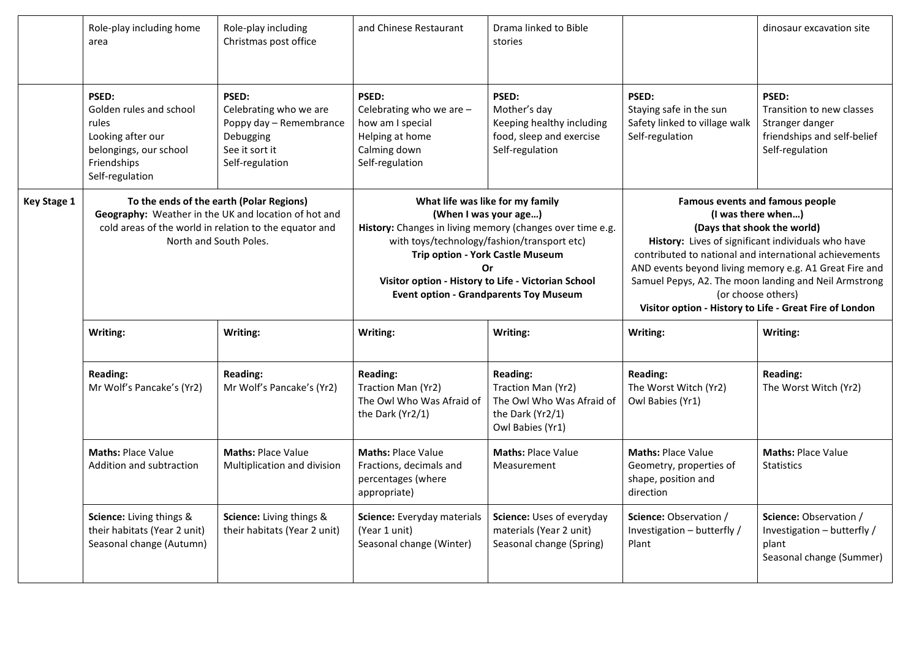|                    | Role-play including home<br>area                                                                                                                                                     | Role-play including<br>Christmas post office                                                                 | and Chinese Restaurant                                                                                                                                                                                                                                                                                                          | Drama linked to Bible<br>stories                                                                           |                                                                                                                                                                                                                                                                                                                                                                                                                 | dinosaur excavation site                                                                                |
|--------------------|--------------------------------------------------------------------------------------------------------------------------------------------------------------------------------------|--------------------------------------------------------------------------------------------------------------|---------------------------------------------------------------------------------------------------------------------------------------------------------------------------------------------------------------------------------------------------------------------------------------------------------------------------------|------------------------------------------------------------------------------------------------------------|-----------------------------------------------------------------------------------------------------------------------------------------------------------------------------------------------------------------------------------------------------------------------------------------------------------------------------------------------------------------------------------------------------------------|---------------------------------------------------------------------------------------------------------|
|                    | PSED:<br>Golden rules and school<br>rules<br>Looking after our<br>belongings, our school<br>Friendships<br>Self-regulation                                                           | PSED:<br>Celebrating who we are<br>Poppy day - Remembrance<br>Debugging<br>See it sort it<br>Self-regulation | PSED:<br>Celebrating who we are -<br>how am I special<br>Helping at home<br>Calming down<br>Self-regulation                                                                                                                                                                                                                     | PSED:<br>Mother's day<br>Keeping healthy including<br>food, sleep and exercise<br>Self-regulation          | PSED:<br>Staying safe in the sun<br>Safety linked to village walk<br>Self-regulation                                                                                                                                                                                                                                                                                                                            | PSED:<br>Transition to new classes<br>Stranger danger<br>friendships and self-belief<br>Self-regulation |
| <b>Key Stage 1</b> | To the ends of the earth (Polar Regions)<br>Geography: Weather in the UK and location of hot and<br>cold areas of the world in relation to the equator and<br>North and South Poles. |                                                                                                              | What life was like for my family<br>(When I was your age)<br>History: Changes in living memory (changes over time e.g.<br>with toys/technology/fashion/transport etc)<br>Trip option - York Castle Museum<br>$\alpha$ r<br>Visitor option - History to Life - Victorian School<br><b>Event option - Grandparents Toy Museum</b> |                                                                                                            | <b>Famous events and famous people</b><br>(I was there when)<br>(Days that shook the world)<br>History: Lives of significant individuals who have<br>contributed to national and international achievements<br>AND events beyond living memory e.g. A1 Great Fire and<br>Samuel Pepys, A2. The moon landing and Neil Armstrong<br>(or choose others)<br>Visitor option - History to Life - Great Fire of London |                                                                                                         |
|                    | Writing:                                                                                                                                                                             | Writing:                                                                                                     | Writing:                                                                                                                                                                                                                                                                                                                        | Writing:                                                                                                   | Writing:                                                                                                                                                                                                                                                                                                                                                                                                        | Writing:                                                                                                |
|                    | <b>Reading:</b><br>Mr Wolf's Pancake's (Yr2)                                                                                                                                         | <b>Reading:</b><br>Mr Wolf's Pancake's (Yr2)                                                                 | <b>Reading:</b><br>Traction Man (Yr2)<br>The Owl Who Was Afraid of<br>the Dark (Yr2/1)                                                                                                                                                                                                                                          | <b>Reading:</b><br>Traction Man (Yr2)<br>The Owl Who Was Afraid of<br>the Dark (Yr2/1)<br>Owl Babies (Yr1) | <b>Reading:</b><br>The Worst Witch (Yr2)<br>Owl Babies (Yr1)                                                                                                                                                                                                                                                                                                                                                    | <b>Reading:</b><br>The Worst Witch (Yr2)                                                                |
|                    | Maths: Place Value<br>Addition and subtraction                                                                                                                                       | <b>Maths: Place Value</b><br>Multiplication and division                                                     | <b>Maths: Place Value</b><br>Fractions, decimals and<br>percentages (where<br>appropriate)                                                                                                                                                                                                                                      | <b>Maths: Place Value</b><br>Measurement                                                                   | <b>Maths: Place Value</b><br>Geometry, properties of<br>shape, position and<br>direction                                                                                                                                                                                                                                                                                                                        | <b>Maths: Place Value</b><br><b>Statistics</b>                                                          |
|                    | Science: Living things &<br>their habitats (Year 2 unit)<br>Seasonal change (Autumn)                                                                                                 | Science: Living things &<br>their habitats (Year 2 unit)                                                     | Science: Everyday materials<br>(Year 1 unit)<br>Seasonal change (Winter)                                                                                                                                                                                                                                                        | Science: Uses of everyday<br>materials (Year 2 unit)<br>Seasonal change (Spring)                           | Science: Observation /<br>Investigation - butterfly /<br>Plant                                                                                                                                                                                                                                                                                                                                                  | Science: Observation /<br>Investigation - butterfly /<br>plant<br>Seasonal change (Summer)              |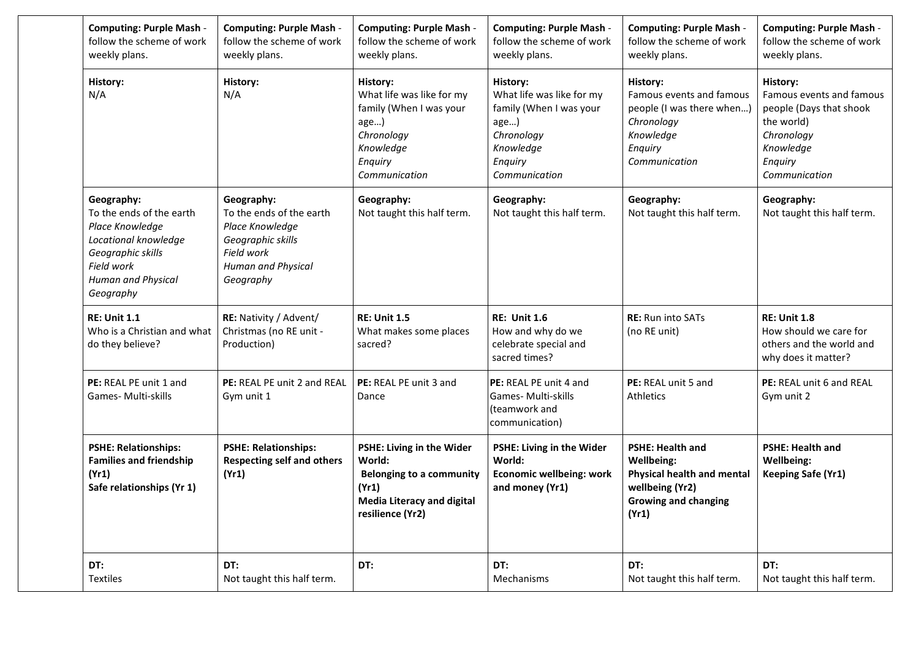| <b>Computing: Purple Mash -</b><br>follow the scheme of work<br>weekly plans.                                                                           | <b>Computing: Purple Mash -</b><br>follow the scheme of work<br>weekly plans.                                                   | <b>Computing: Purple Mash -</b><br>follow the scheme of work<br>weekly plans.                                                            | <b>Computing: Purple Mash -</b><br>follow the scheme of work<br>weekly plans.                                                   | <b>Computing: Purple Mash -</b><br>follow the scheme of work<br>weekly plans.                                                  | <b>Computing: Purple Mash -</b><br>follow the scheme of work<br>weekly plans.                                                        |
|---------------------------------------------------------------------------------------------------------------------------------------------------------|---------------------------------------------------------------------------------------------------------------------------------|------------------------------------------------------------------------------------------------------------------------------------------|---------------------------------------------------------------------------------------------------------------------------------|--------------------------------------------------------------------------------------------------------------------------------|--------------------------------------------------------------------------------------------------------------------------------------|
| History:<br>N/A                                                                                                                                         | History:<br>N/A                                                                                                                 | History:<br>What life was like for my<br>family (When I was your<br>age)<br>Chronology<br>Knowledge<br>Enquiry<br>Communication          | History:<br>What life was like for my<br>family (When I was your<br>age)<br>Chronology<br>Knowledge<br>Enquiry<br>Communication | History:<br>Famous events and famous<br>people (I was there when)<br>Chronology<br>Knowledge<br>Enquiry<br>Communication       | History:<br>Famous events and famous<br>people (Days that shook<br>the world)<br>Chronology<br>Knowledge<br>Enquiry<br>Communication |
| Geography:<br>To the ends of the earth<br>Place Knowledge<br>Locational knowledge<br>Geographic skills<br>Field work<br>Human and Physical<br>Geography | Geography:<br>To the ends of the earth<br>Place Knowledge<br>Geographic skills<br>Field work<br>Human and Physical<br>Geography | Geography:<br>Not taught this half term.                                                                                                 | Geography:<br>Not taught this half term.                                                                                        | Geography:<br>Not taught this half term.                                                                                       | Geography:<br>Not taught this half term.                                                                                             |
| <b>RE: Unit 1.1</b><br>Who is a Christian and what<br>do they believe?                                                                                  | RE: Nativity / Advent/<br>Christmas (no RE unit -<br>Production)                                                                | <b>RE: Unit 1.5</b><br>What makes some places<br>sacred?                                                                                 | <b>RE: Unit 1.6</b><br>How and why do we<br>celebrate special and<br>sacred times?                                              | <b>RE:</b> Run into SATs<br>(no RE unit)                                                                                       | <b>RE: Unit 1.8</b><br>How should we care for<br>others and the world and<br>why does it matter?                                     |
| PE: REAL PE unit 1 and<br><b>Games-Multi-skills</b>                                                                                                     | PE: REAL PE unit 2 and REAL<br>Gym unit 1                                                                                       | PE: REAL PE unit 3 and<br>Dance                                                                                                          | PE: REAL PE unit 4 and<br>Games- Multi-skills<br>(teamwork and<br>communication)                                                | PE: REAL unit 5 and<br><b>Athletics</b>                                                                                        | PE: REAL unit 6 and REAL<br>Gym unit 2                                                                                               |
| <b>PSHE: Relationships:</b><br><b>Families and friendship</b><br>(Yr1)<br>Safe relationships (Yr 1)                                                     | <b>PSHE: Relationships:</b><br><b>Respecting self and others</b><br>(Yr1)                                                       | PSHE: Living in the Wider<br>World:<br><b>Belonging to a community</b><br>(Yr1)<br><b>Media Literacy and digital</b><br>resilience (Yr2) | PSHE: Living in the Wider<br>World:<br><b>Economic wellbeing: work</b><br>and money (Yr1)                                       | <b>PSHE: Health and</b><br>Wellbeing:<br>Physical health and mental<br>wellbeing (Yr2)<br><b>Growing and changing</b><br>(Yr1) | <b>PSHE: Health and</b><br>Wellbeing:<br><b>Keeping Safe (Yr1)</b>                                                                   |
| DT:<br><b>Textiles</b>                                                                                                                                  | DT:<br>Not taught this half term.                                                                                               | DT:                                                                                                                                      | DT:<br>Mechanisms                                                                                                               | DT:<br>Not taught this half term.                                                                                              | DT:<br>Not taught this half term.                                                                                                    |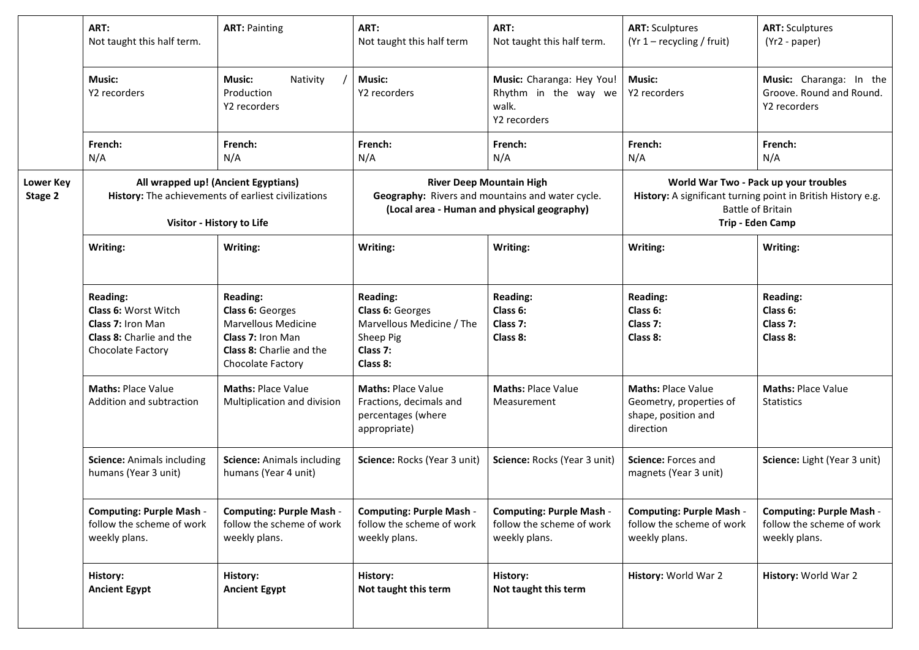|                             | ART:<br>Not taught this half term.                                                                                      | <b>ART: Painting</b>                                                                                                                                  | ART:<br>Not taught this half term                                                                                                  | ART:<br>Not taught this half term.                                            | <b>ART: Sculptures</b><br>$(Yr 1 - recycling / fruit)$                                                                                                | <b>ART: Sculptures</b><br>(Yr2 - paper)                                       |
|-----------------------------|-------------------------------------------------------------------------------------------------------------------------|-------------------------------------------------------------------------------------------------------------------------------------------------------|------------------------------------------------------------------------------------------------------------------------------------|-------------------------------------------------------------------------------|-------------------------------------------------------------------------------------------------------------------------------------------------------|-------------------------------------------------------------------------------|
|                             | Music:<br>Y2 recorders                                                                                                  | <b>Music:</b><br>Nativity<br>Production<br>Y2 recorders                                                                                               | <b>Music:</b><br>Y2 recorders                                                                                                      | Music: Charanga: Hey You!<br>Rhythm in the way we<br>walk.<br>Y2 recorders    | <b>Music:</b><br>Y2 recorders                                                                                                                         | Music: Charanga: In the<br>Groove. Round and Round.<br>Y2 recorders           |
|                             | French:<br>N/A                                                                                                          | French:<br>N/A                                                                                                                                        | French:<br>N/A                                                                                                                     | French:<br>N/A                                                                | French:<br>N/A                                                                                                                                        | French:<br>N/A                                                                |
| <b>Lower Key</b><br>Stage 2 | All wrapped up! (Ancient Egyptians)<br>History: The achievements of earliest civilizations<br>Visitor - History to Life |                                                                                                                                                       | <b>River Deep Mountain High</b><br>Geography: Rivers and mountains and water cycle.<br>(Local area - Human and physical geography) |                                                                               | World War Two - Pack up your troubles<br>History: A significant turning point in British History e.g.<br><b>Battle of Britain</b><br>Trip - Eden Camp |                                                                               |
|                             | Writing:                                                                                                                | Writing:                                                                                                                                              | Writing:                                                                                                                           | Writing:                                                                      | Writing:                                                                                                                                              | Writing:                                                                      |
|                             | <b>Reading:</b><br>Class 6: Worst Witch<br>Class 7: Iron Man<br>Class 8: Charlie and the<br>Chocolate Factory           | <b>Reading:</b><br>Class 6: Georges<br><b>Marvellous Medicine</b><br><b>Class 7: Iron Man</b><br><b>Class 8:</b> Charlie and the<br>Chocolate Factory | <b>Reading:</b><br>Class 6: Georges<br>Marvellous Medicine / The<br>Sheep Pig<br>Class 7:<br>Class 8:                              | <b>Reading:</b><br>Class 6:<br>Class 7:<br>Class 8:                           | <b>Reading:</b><br>Class 6:<br>Class 7:<br>Class 8:                                                                                                   | <b>Reading:</b><br>Class 6:<br>Class 7:<br>Class 8:                           |
|                             | <b>Maths: Place Value</b><br>Addition and subtraction                                                                   | <b>Maths: Place Value</b><br>Multiplication and division                                                                                              | <b>Maths: Place Value</b><br>Fractions, decimals and<br>percentages (where<br>appropriate)                                         | <b>Maths: Place Value</b><br>Measurement                                      | <b>Maths: Place Value</b><br>Geometry, properties of<br>shape, position and<br>direction                                                              | <b>Maths: Place Value</b><br><b>Statistics</b>                                |
|                             | <b>Science: Animals including</b><br>humans (Year 3 unit)                                                               | <b>Science: Animals including</b><br>humans (Year 4 unit)                                                                                             | Science: Rocks (Year 3 unit)                                                                                                       | Science: Rocks (Year 3 unit)                                                  | Science: Forces and<br>magnets (Year 3 unit)                                                                                                          | Science: Light (Year 3 unit)                                                  |
|                             | <b>Computing: Purple Mash -</b><br>follow the scheme of work<br>weekly plans.                                           | <b>Computing: Purple Mash -</b><br>follow the scheme of work<br>weekly plans.                                                                         | <b>Computing: Purple Mash -</b><br>follow the scheme of work<br>weekly plans.                                                      | <b>Computing: Purple Mash -</b><br>follow the scheme of work<br>weekly plans. | <b>Computing: Purple Mash -</b><br>follow the scheme of work<br>weekly plans.                                                                         | <b>Computing: Purple Mash -</b><br>follow the scheme of work<br>weekly plans. |
|                             | History:<br><b>Ancient Egypt</b>                                                                                        | History:<br><b>Ancient Egypt</b>                                                                                                                      | History:<br>Not taught this term                                                                                                   | History:<br>Not taught this term                                              | History: World War 2                                                                                                                                  | History: World War 2                                                          |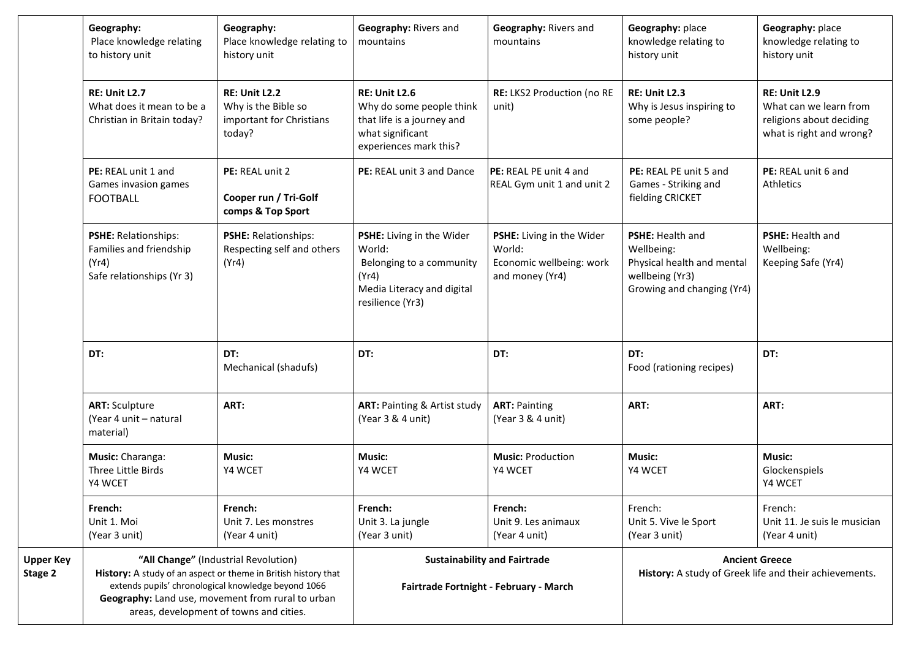|                             | Geography:<br>Place knowledge relating<br>to history unit                                                                                                                                                                                                     | Geography:<br>Place knowledge relating to<br>history unit                         | Geography: Rivers and<br>mountains                                                                                           | Geography: Rivers and<br>mountains                                                 | Geography: place<br>knowledge relating to<br>history unit                                                            | Geography: place<br>knowledge relating to<br>history unit                                              |
|-----------------------------|---------------------------------------------------------------------------------------------------------------------------------------------------------------------------------------------------------------------------------------------------------------|-----------------------------------------------------------------------------------|------------------------------------------------------------------------------------------------------------------------------|------------------------------------------------------------------------------------|----------------------------------------------------------------------------------------------------------------------|--------------------------------------------------------------------------------------------------------|
|                             | <b>RE: Unit L2.7</b><br>What does it mean to be a<br>Christian in Britain today?                                                                                                                                                                              | <b>RE: Unit L2.2</b><br>Why is the Bible so<br>important for Christians<br>today? | <b>RE: Unit L2.6</b><br>Why do some people think<br>that life is a journey and<br>what significant<br>experiences mark this? | RE: LKS2 Production (no RE<br>unit)                                                | <b>RE: Unit L2.3</b><br>Why is Jesus inspiring to<br>some people?                                                    | <b>RE: Unit L2.9</b><br>What can we learn from<br>religions about deciding<br>what is right and wrong? |
|                             | PE: REAL unit 1 and<br>Games invasion games<br><b>FOOTBALL</b>                                                                                                                                                                                                | PE: REAL unit 2<br>Cooper run / Tri-Golf<br>comps & Top Sport                     | PE: REAL unit 3 and Dance                                                                                                    | PE: REAL PE unit 4 and<br>REAL Gym unit 1 and unit 2                               | PE: REAL PE unit 5 and<br>Games - Striking and<br>fielding CRICKET                                                   | PE: REAL unit 6 and<br>Athletics                                                                       |
|                             | PSHE: Relationships:<br>Families and friendship<br>(Yr4)<br>Safe relationships (Yr 3)                                                                                                                                                                         | <b>PSHE: Relationships:</b><br>Respecting self and others<br>(Yr4)                | PSHE: Living in the Wider<br>World:<br>Belonging to a community<br>(Yr4)<br>Media Literacy and digital<br>resilience (Yr3)   | PSHE: Living in the Wider<br>World:<br>Economic wellbeing: work<br>and money (Yr4) | <b>PSHE: Health and</b><br>Wellbeing:<br>Physical health and mental<br>wellbeing (Yr3)<br>Growing and changing (Yr4) | <b>PSHE: Health and</b><br>Wellbeing:<br>Keeping Safe (Yr4)                                            |
|                             | DT:                                                                                                                                                                                                                                                           | DT:<br>Mechanical (shadufs)                                                       | DT:                                                                                                                          | DT:                                                                                | DT:<br>Food (rationing recipes)                                                                                      | DT:                                                                                                    |
|                             | <b>ART: Sculpture</b><br>(Year 4 unit - natural<br>material)                                                                                                                                                                                                  | ART:                                                                              | <b>ART: Painting &amp; Artist study</b><br>(Year 3 & 4 unit)                                                                 | <b>ART: Painting</b><br>(Year 3 & 4 unit)                                          | ART:                                                                                                                 | ART:                                                                                                   |
|                             | Music: Charanga:<br>Three Little Birds<br>Y4 WCET                                                                                                                                                                                                             | <b>Music:</b><br>Y4 WCET                                                          | <b>Music:</b><br>Y4 WCET                                                                                                     | <b>Music: Production</b><br>Y4 WCET                                                | <b>Music:</b><br>Y4 WCET                                                                                             | <b>Music:</b><br>Glockenspiels<br>Y4 WCET                                                              |
|                             | French:<br>Unit 1. Moi<br>(Year 3 unit)                                                                                                                                                                                                                       | French:<br>Unit 7. Les monstres<br>(Year 4 unit)                                  | French:<br>Unit 3. La jungle<br>(Year 3 unit)                                                                                | French:<br>Unit 9. Les animaux<br>(Year 4 unit)                                    | French:<br>Unit 5. Vive le Sport<br>(Year 3 unit)                                                                    | French:<br>Unit 11. Je suis le musician<br>(Year 4 unit)                                               |
| <b>Upper Key</b><br>Stage 2 | "All Change" (Industrial Revolution)<br>History: A study of an aspect or theme in British history that<br>extends pupils' chronological knowledge beyond 1066<br>Geography: Land use, movement from rural to urban<br>areas, development of towns and cities. |                                                                                   | <b>Sustainability and Fairtrade</b><br>Fairtrade Fortnight - February - March                                                |                                                                                    | <b>Ancient Greece</b><br>History: A study of Greek life and their achievements.                                      |                                                                                                        |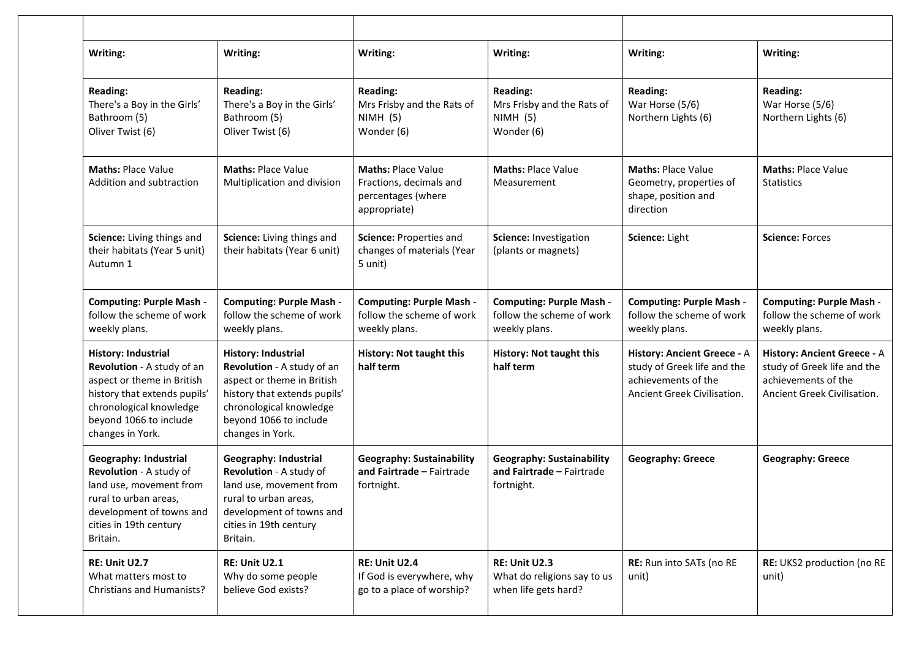| Writing:                                                                                                                                                                                 | Writing:                                                                                                                                                                                 | Writing:                                                                                   | Writing:                                                                      | Writing:                                                                                                         | Writing:                                                                                                         |
|------------------------------------------------------------------------------------------------------------------------------------------------------------------------------------------|------------------------------------------------------------------------------------------------------------------------------------------------------------------------------------------|--------------------------------------------------------------------------------------------|-------------------------------------------------------------------------------|------------------------------------------------------------------------------------------------------------------|------------------------------------------------------------------------------------------------------------------|
| <b>Reading:</b><br>There's a Boy in the Girls'<br>Bathroom (5)<br>Oliver Twist (6)                                                                                                       | <b>Reading:</b><br>There's a Boy in the Girls'<br>Bathroom (5)<br>Oliver Twist (6)                                                                                                       | <b>Reading:</b><br>Mrs Frisby and the Rats of<br>NIMH (5)<br>Wonder (6)                    | <b>Reading:</b><br>Mrs Frisby and the Rats of<br>NIMH(5)<br>Wonder (6)        | <b>Reading:</b><br>War Horse (5/6)<br>Northern Lights (6)                                                        | <b>Reading:</b><br>War Horse (5/6)<br>Northern Lights (6)                                                        |
| <b>Maths: Place Value</b><br>Addition and subtraction                                                                                                                                    | <b>Maths: Place Value</b><br>Multiplication and division                                                                                                                                 | <b>Maths: Place Value</b><br>Fractions, decimals and<br>percentages (where<br>appropriate) | <b>Maths: Place Value</b><br>Measurement                                      | <b>Maths: Place Value</b><br>Geometry, properties of<br>shape, position and<br>direction                         | <b>Maths: Place Value</b><br><b>Statistics</b>                                                                   |
| Science: Living things and<br>their habitats (Year 5 unit)<br>Autumn 1                                                                                                                   | Science: Living things and<br>their habitats (Year 6 unit)                                                                                                                               | Science: Properties and<br>changes of materials (Year<br>5 unit)                           | Science: Investigation<br>(plants or magnets)                                 | Science: Light                                                                                                   | <b>Science: Forces</b>                                                                                           |
| <b>Computing: Purple Mash -</b><br>follow the scheme of work<br>weekly plans.                                                                                                            | <b>Computing: Purple Mash -</b><br>follow the scheme of work<br>weekly plans.                                                                                                            | <b>Computing: Purple Mash -</b><br>follow the scheme of work<br>weekly plans.              | <b>Computing: Purple Mash -</b><br>follow the scheme of work<br>weekly plans. | <b>Computing: Purple Mash -</b><br>follow the scheme of work<br>weekly plans.                                    | <b>Computing: Purple Mash -</b><br>follow the scheme of work<br>weekly plans.                                    |
| History: Industrial<br>Revolution - A study of an<br>aspect or theme in British<br>history that extends pupils'<br>chronological knowledge<br>beyond 1066 to include<br>changes in York. | History: Industrial<br>Revolution - A study of an<br>aspect or theme in British<br>history that extends pupils'<br>chronological knowledge<br>beyond 1066 to include<br>changes in York. | <b>History: Not taught this</b><br>half term                                               | <b>History: Not taught this</b><br>half term                                  | History: Ancient Greece - A<br>study of Greek life and the<br>achievements of the<br>Ancient Greek Civilisation. | History: Ancient Greece - A<br>study of Greek life and the<br>achievements of the<br>Ancient Greek Civilisation. |
| Geography: Industrial<br>Revolution - A study of<br>land use, movement from<br>rural to urban areas,<br>development of towns and<br>cities in 19th century<br>Britain.                   | Geography: Industrial<br>Revolution - A study of<br>land use, movement from<br>rural to urban areas,<br>development of towns and<br>cities in 19th century<br>Britain.                   | <b>Geography: Sustainability</b><br>and Fairtrade - Fairtrade<br>fortnight.                | <b>Geography: Sustainability</b><br>and Fairtrade - Fairtrade<br>fortnight.   | <b>Geography: Greece</b>                                                                                         | <b>Geography: Greece</b>                                                                                         |
| RE: Unit U2.7<br>What matters most to<br><b>Christians and Humanists?</b>                                                                                                                | RE: Unit U2.1<br>Why do some people<br>believe God exists?                                                                                                                               | RE: Unit U2.4<br>If God is everywhere, why<br>go to a place of worship?                    | RE: Unit U2.3<br>What do religions say to us<br>when life gets hard?          | RE: Run into SATs (no RE<br>unit)                                                                                | RE: UKS2 production (no RE<br>unit)                                                                              |